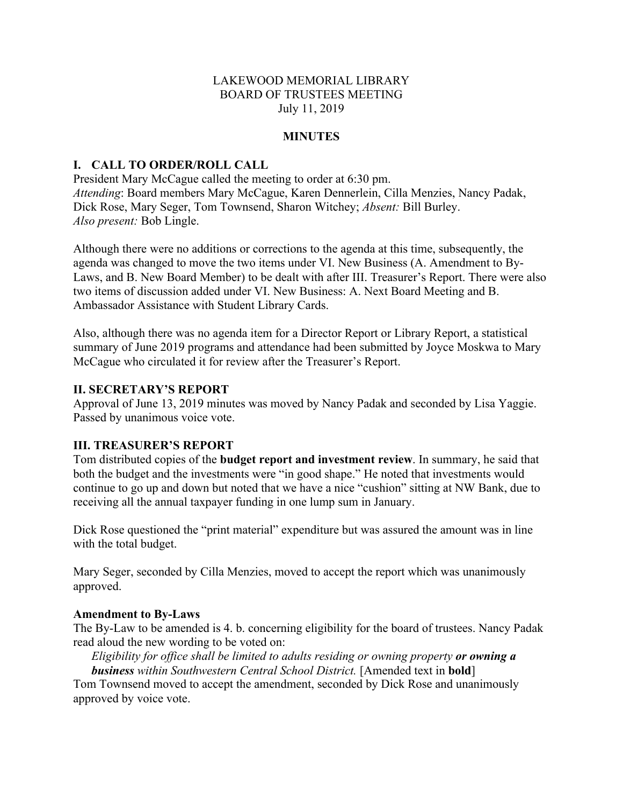## LAKEWOOD MEMORIAL LIBRARY BOARD OF TRUSTEES MEETING July 11, 2019

## **MINUTES**

# **I. CALL TO ORDER/ROLL CALL**

President Mary McCague called the meeting to order at 6:30 pm. *Attending*: Board members Mary McCague, Karen Dennerlein, Cilla Menzies, Nancy Padak, Dick Rose, Mary Seger, Tom Townsend, Sharon Witchey; *Absent:* Bill Burley. *Also present:* Bob Lingle.

Although there were no additions or corrections to the agenda at this time, subsequently, the agenda was changed to move the two items under VI. New Business (A. Amendment to By-Laws, and B. New Board Member) to be dealt with after III. Treasurer's Report. There were also two items of discussion added under VI. New Business: A. Next Board Meeting and B. Ambassador Assistance with Student Library Cards.

Also, although there was no agenda item for a Director Report or Library Report, a statistical summary of June 2019 programs and attendance had been submitted by Joyce Moskwa to Mary McCague who circulated it for review after the Treasurer's Report.

### **II. SECRETARY'S REPORT**

Approval of June 13, 2019 minutes was moved by Nancy Padak and seconded by Lisa Yaggie. Passed by unanimous voice vote.

### **III. TREASURER'S REPORT**

Tom distributed copies of the **budget report and investment review**. In summary, he said that both the budget and the investments were "in good shape." He noted that investments would continue to go up and down but noted that we have a nice "cushion" sitting at NW Bank, due to receiving all the annual taxpayer funding in one lump sum in January.

Dick Rose questioned the "print material" expenditure but was assured the amount was in line with the total budget.

Mary Seger, seconded by Cilla Menzies, moved to accept the report which was unanimously approved.

### **Amendment to By-Laws**

The By-Law to be amended is 4. b. concerning eligibility for the board of trustees. Nancy Padak read aloud the new wording to be voted on:

*Eligibility for office shall be limited to adults residing or owning property or owning a business within Southwestern Central School District.* [Amended text in **bold**]

Tom Townsend moved to accept the amendment, seconded by Dick Rose and unanimously approved by voice vote.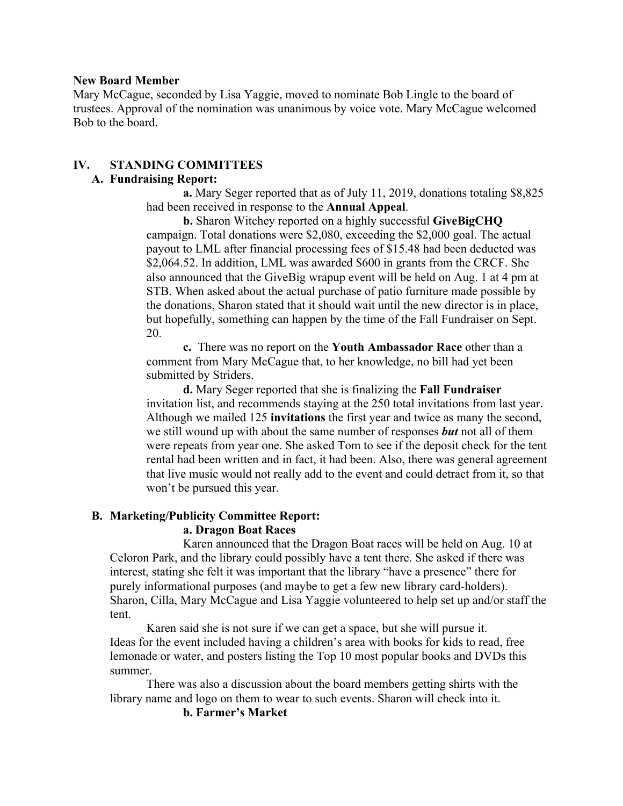### **New Board Member**

Mary McCague, seconded by Lisa Yaggie, moved to nominate Bob Lingle to the board of trustees. Approval of the nomination was unanimous by voice vote. Mary McCague welcomed Bob to the board.

# **IV. STANDING COMMITTEES**

# **A. Fundraising Report:**

**a.** Mary Seger reported that as of July 11, 2019, donations totaling \$8,825 had been received in response to the **Annual Appeal**.

**b.** Sharon Witchey reported on a highly successful **GiveBigCHQ**  campaign. Total donations were \$2,080, exceeding the \$2,000 goal. The actual payout to LML after financial processing fees of \$15.48 had been deducted was \$2,064.52. In addition, LML was awarded \$600 in grants from the CRCF. She also announced that the GiveBig wrapup event will be held on Aug. 1 at 4 pm at STB. When asked about the actual purchase of patio furniture made possible by the donations, Sharon stated that it should wait until the new director is in place, but hopefully, something can happen by the time of the Fall Fundraiser on Sept. 20.

**c.** There was no report on the **Youth Ambassador Race** other than a comment from Mary McCague that, to her knowledge, no bill had yet been submitted by Striders.

**d.** Mary Seger reported that she is finalizing the **Fall Fundraiser** invitation list, and recommends staying at the 250 total invitations from last year. Although we mailed 125 **invitations** the first year and twice as many the second, we still wound up with about the same number of responses *but* not all of them were repeats from year one. She asked Tom to see if the deposit check for the tent rental had been written and in fact, it had been. Also, there was general agreement that live music would not really add to the event and could detract from it, so that won't be pursued this year.

## **B. Marketing/Publicity Committee Report:**

## **a. Dragon Boat Races**

Karen announced that the Dragon Boat races will be held on Aug. 10 at Celoron Park, and the library could possibly have a tent there. She asked if there was interest, stating she felt it was important that the library "have a presence" there for purely informational purposes (and maybe to get a few new library card-holders). Sharon, Cilla, Mary McCague and Lisa Yaggie volunteered to help set up and/or staff the tent.

Karen said she is not sure if we can get a space, but she will pursue it. Ideas for the event included having a children's area with books for kids to read, free lemonade or water, and posters listing the Top 10 most popular books and DVDs this summer.

There was also a discussion about the board members getting shirts with the library name and logo on them to wear to such events. Sharon will check into it.

# **b. Farmer's Market**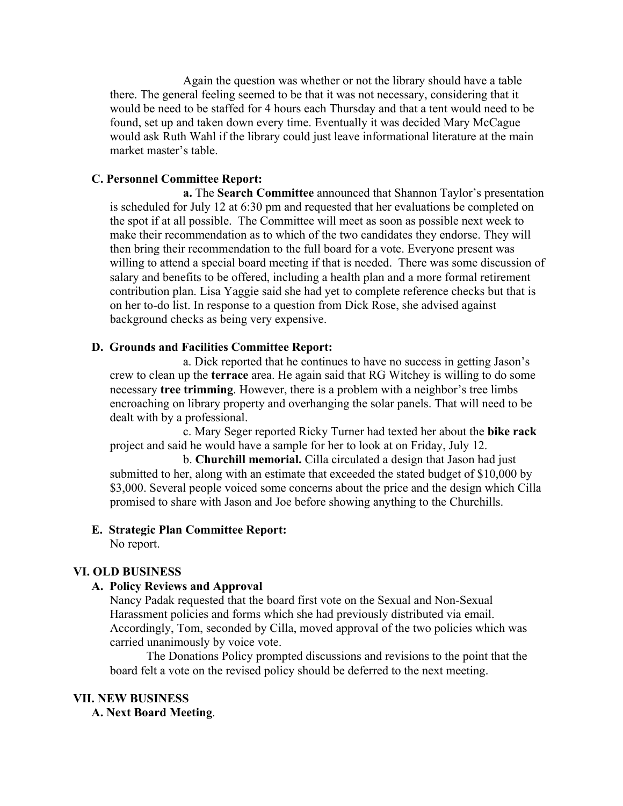Again the question was whether or not the library should have a table there. The general feeling seemed to be that it was not necessary, considering that it would be need to be staffed for 4 hours each Thursday and that a tent would need to be found, set up and taken down every time. Eventually it was decided Mary McCague would ask Ruth Wahl if the library could just leave informational literature at the main market master's table.

# **C. Personnel Committee Report:**

**a.** The **Search Committee** announced that Shannon Taylor's presentation is scheduled for July 12 at 6:30 pm and requested that her evaluations be completed on the spot if at all possible. The Committee will meet as soon as possible next week to make their recommendation as to which of the two candidates they endorse. They will then bring their recommendation to the full board for a vote. Everyone present was willing to attend a special board meeting if that is needed. There was some discussion of salary and benefits to be offered, including a health plan and a more formal retirement contribution plan. Lisa Yaggie said she had yet to complete reference checks but that is on her to-do list. In response to a question from Dick Rose, she advised against background checks as being very expensive.

# **D. Grounds and Facilities Committee Report:**

a. Dick reported that he continues to have no success in getting Jason's crew to clean up the **terrace** area. He again said that RG Witchey is willing to do some necessary **tree trimming**. However, there is a problem with a neighbor's tree limbs encroaching on library property and overhanging the solar panels. That will need to be dealt with by a professional.

c. Mary Seger reported Ricky Turner had texted her about the **bike rack** project and said he would have a sample for her to look at on Friday, July 12.

b. **Churchill memorial.** Cilla circulated a design that Jason had just submitted to her, along with an estimate that exceeded the stated budget of \$10,000 by \$3,000. Several people voiced some concerns about the price and the design which Cilla promised to share with Jason and Joe before showing anything to the Churchills.

# **E. Strategic Plan Committee Report:**

No report.

### **VI. OLD BUSINESS**

## **A. Policy Reviews and Approval**

Nancy Padak requested that the board first vote on the Sexual and Non-Sexual Harassment policies and forms which she had previously distributed via email. Accordingly, Tom, seconded by Cilla, moved approval of the two policies which was carried unanimously by voice vote.

The Donations Policy prompted discussions and revisions to the point that the board felt a vote on the revised policy should be deferred to the next meeting.

### **VII. NEW BUSINESS**

**A. Next Board Meeting**.